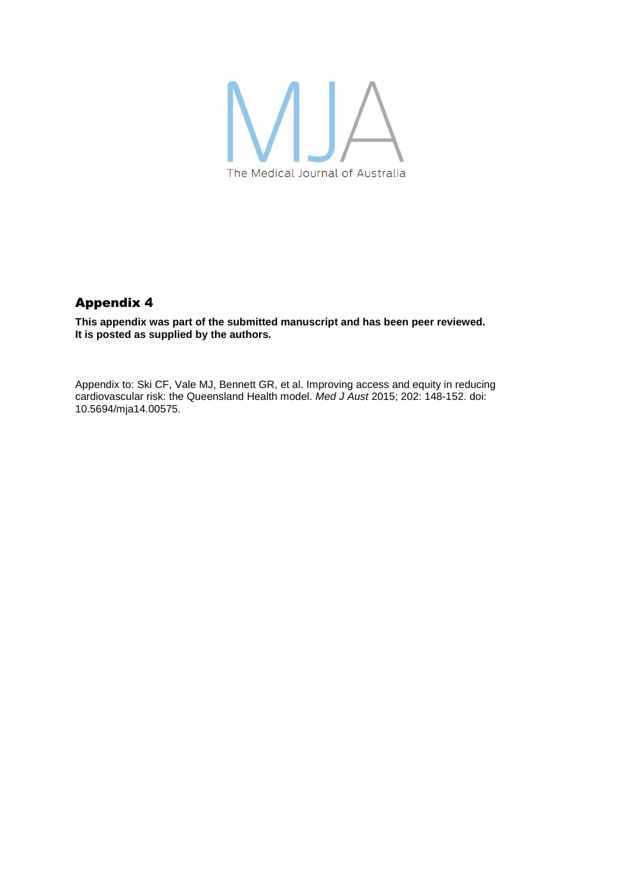

## Appendix 4

**This appendix was part of the submitted manuscript and has been peer reviewed. It is posted as supplied by the authors.**

Appendix to: Ski CF, Vale MJ, Bennett GR, et al. Improving access and equity in reducing cardiovascular risk: the Queensland Health model. *Med J Aust* 2015; 202: 148-152. doi: 10.5694/mja14.00575.